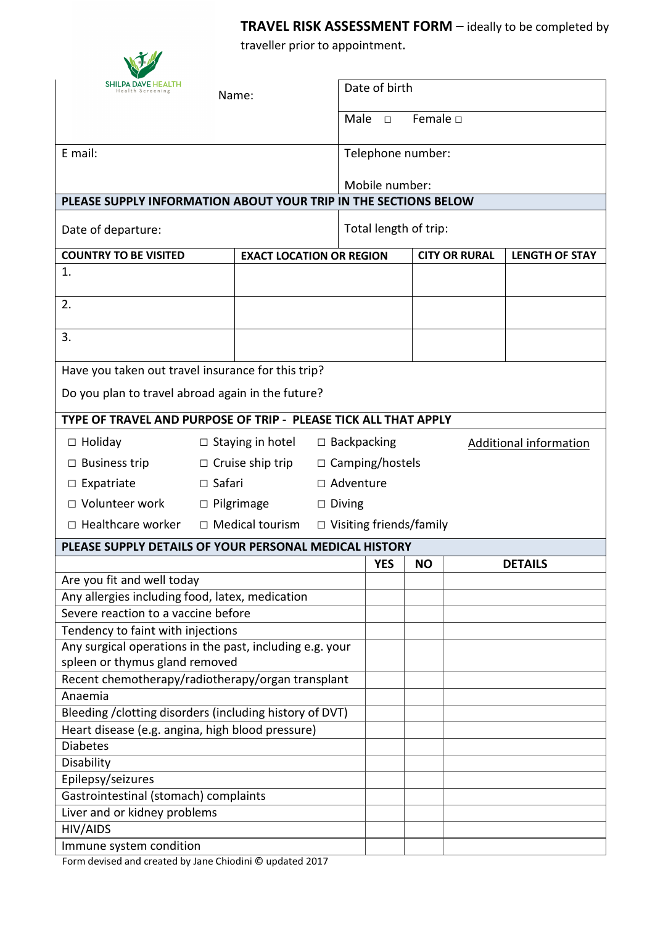**TRAVEL RISK ASSESSMENT FORM** – ideally to be completed by

traveller prior to appointment.

|                                                                                               |                                    | avence prior to appointment.    |  |                                    |                                                     |                       |  |                |  |
|-----------------------------------------------------------------------------------------------|------------------------------------|---------------------------------|--|------------------------------------|-----------------------------------------------------|-----------------------|--|----------------|--|
| <b>SHILPA DAVE HEALTH</b><br>Name:                                                            |                                    |                                 |  | Date of birth                      |                                                     |                       |  |                |  |
|                                                                                               |                                    |                                 |  | Female $\square$<br>Male<br>$\Box$ |                                                     |                       |  |                |  |
| E mail:                                                                                       |                                    |                                 |  | Telephone number:                  |                                                     |                       |  |                |  |
|                                                                                               |                                    |                                 |  | Mobile number:                     |                                                     |                       |  |                |  |
| PLEASE SUPPLY INFORMATION ABOUT YOUR TRIP IN THE SECTIONS BELOW                               |                                    |                                 |  |                                    |                                                     |                       |  |                |  |
| Date of departure:                                                                            |                                    |                                 |  | Total length of trip:              |                                                     |                       |  |                |  |
| <b>COUNTRY TO BE VISITED</b>                                                                  |                                    | <b>EXACT LOCATION OR REGION</b> |  | <b>CITY OR RURAL</b>               |                                                     | <b>LENGTH OF STAY</b> |  |                |  |
| 1.                                                                                            |                                    |                                 |  |                                    |                                                     |                       |  |                |  |
| 2.                                                                                            |                                    |                                 |  |                                    |                                                     |                       |  |                |  |
| 3.                                                                                            |                                    |                                 |  |                                    |                                                     |                       |  |                |  |
| Have you taken out travel insurance for this trip?                                            |                                    |                                 |  |                                    |                                                     |                       |  |                |  |
| Do you plan to travel abroad again in the future?                                             |                                    |                                 |  |                                    |                                                     |                       |  |                |  |
| TYPE OF TRAVEL AND PURPOSE OF TRIP - PLEASE TICK ALL THAT APPLY                               |                                    |                                 |  |                                    |                                                     |                       |  |                |  |
| $\Box$ Holiday<br>$\Box$ Staying in hotel                                                     |                                    |                                 |  |                                    | $\Box$ Backpacking<br><b>Additional information</b> |                       |  |                |  |
| $\Box$ Business trip                                                                          | $\Box$ Cruise ship trip            |                                 |  | $\Box$ Camping/hostels             |                                                     |                       |  |                |  |
| $\Box$ Expatriate                                                                             |                                    | $\Box$ Safari<br>□ Adventure    |  |                                    |                                                     |                       |  |                |  |
| □ Volunteer work                                                                              | $\Box$ Pilgrimage<br>$\Box$ Diving |                                 |  |                                    |                                                     |                       |  |                |  |
| $\Box$ Healthcare worker<br>$\Box$ Medical tourism<br>$\Box$ Visiting friends/family          |                                    |                                 |  |                                    |                                                     |                       |  |                |  |
| PLEASE SUPPLY DETAILS OF YOUR PERSONAL MEDICAL HISTORY                                        |                                    |                                 |  |                                    |                                                     |                       |  |                |  |
|                                                                                               |                                    |                                 |  |                                    | <b>YES</b>                                          | <b>NO</b>             |  | <b>DETAILS</b> |  |
| Are you fit and well today                                                                    |                                    |                                 |  |                                    |                                                     |                       |  |                |  |
| Any allergies including food, latex, medication                                               |                                    |                                 |  |                                    |                                                     |                       |  |                |  |
| Severe reaction to a vaccine before                                                           |                                    |                                 |  |                                    |                                                     |                       |  |                |  |
| Tendency to faint with injections<br>Any surgical operations in the past, including e.g. your |                                    |                                 |  |                                    |                                                     |                       |  |                |  |
| spleen or thymus gland removed                                                                |                                    |                                 |  |                                    |                                                     |                       |  |                |  |
| Recent chemotherapy/radiotherapy/organ transplant                                             |                                    |                                 |  |                                    |                                                     |                       |  |                |  |
| Anaemia                                                                                       |                                    |                                 |  |                                    |                                                     |                       |  |                |  |
| Bleeding / clotting disorders (including history of DVT)                                      |                                    |                                 |  |                                    |                                                     |                       |  |                |  |
| Heart disease (e.g. angina, high blood pressure)                                              |                                    |                                 |  |                                    |                                                     |                       |  |                |  |
| <b>Diabetes</b>                                                                               |                                    |                                 |  |                                    |                                                     |                       |  |                |  |
| Disability<br>Epilepsy/seizures                                                               |                                    |                                 |  |                                    |                                                     |                       |  |                |  |
| Gastrointestinal (stomach) complaints                                                         |                                    |                                 |  |                                    |                                                     |                       |  |                |  |
| Liver and or kidney problems                                                                  |                                    |                                 |  |                                    |                                                     |                       |  |                |  |
| <b>HIV/AIDS</b>                                                                               |                                    |                                 |  |                                    |                                                     |                       |  |                |  |
| Immune system condition                                                                       |                                    |                                 |  |                                    |                                                     |                       |  |                |  |

Form devised and created by Jane Chiodini © updated 2017